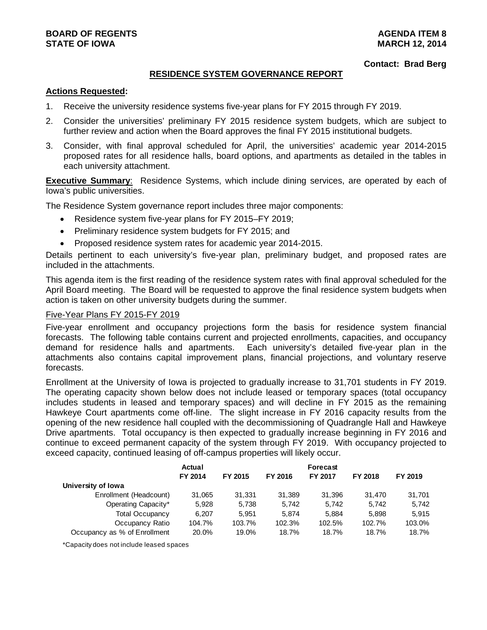#### **Contact: Brad Berg**

#### **RESIDENCE SYSTEM GOVERNANCE REPORT**

#### **Actions Requested:**

- 1. Receive the university residence systems five-year plans for FY 2015 through FY 2019.
- 2. Consider the universities' preliminary FY 2015 residence system budgets, which are subject to further review and action when the Board approves the final FY 2015 institutional budgets.
- 3. Consider, with final approval scheduled for April, the universities' academic year 2014-2015 proposed rates for all residence halls, board options, and apartments as detailed in the tables in each university attachment.

**Executive Summary**: Residence Systems, which include dining services, are operated by each of Iowa's public universities.

The Residence System governance report includes three major components:

- Residence system five-year plans for FY 2015–FY 2019;
- Preliminary residence system budgets for FY 2015; and
- Proposed residence system rates for academic year 2014-2015.

Details pertinent to each university's five-year plan, preliminary budget, and proposed rates are included in the attachments.

This agenda item is the first reading of the residence system rates with final approval scheduled for the April Board meeting. The Board will be requested to approve the final residence system budgets when action is taken on other university budgets during the summer.

#### Five-Year Plans FY 2015-FY 2019

Five-year enrollment and occupancy projections form the basis for residence system financial forecasts. The following table contains current and projected enrollments, capacities, and occupancy demand for residence halls and apartments. Each university's detailed five-year plan in the attachments also contains capital improvement plans, financial projections, and voluntary reserve forecasts.

Enrollment at the University of Iowa is projected to gradually increase to 31,701 students in FY 2019. The operating capacity shown below does not include leased or temporary spaces (total occupancy includes students in leased and temporary spaces) and will decline in FY 2015 as the remaining Hawkeye Court apartments come off-line. The slight increase in FY 2016 capacity results from the opening of the new residence hall coupled with the decommissioning of Quadrangle Hall and Hawkeye Drive apartments. Total occupancy is then expected to gradually increase beginning in FY 2016 and continue to exceed permanent capacity of the system through FY 2019. With occupancy projected to exceed capacity, continued leasing of off-campus properties will likely occur.

|                              | <b>Actual</b> |         |         | <b>Forecast</b> |         |         |
|------------------------------|---------------|---------|---------|-----------------|---------|---------|
|                              | FY 2014       | FY 2015 | FY 2016 | FY 2017         | FY 2018 | FY 2019 |
| University of Iowa           |               |         |         |                 |         |         |
| Enrollment (Headcount)       | 31,065        | 31.331  | 31.389  | 31.396          | 31.470  | 31,701  |
| Operating Capacity*          | 5,928         | 5,738   | 5.742   | 5.742           | 5.742   | 5.742   |
| <b>Total Occupancy</b>       | 6.207         | 5.951   | 5.874   | 5.884           | 5,898   | 5.915   |
| Occupancy Ratio              | 104.7%        | 103.7%  | 102.3%  | 102.5%          | 102.7%  | 103.0%  |
| Occupancy as % of Enrollment | 20.0%         | 19.0%   | 18.7%   | 18.7%           | 18.7%   | 18.7%   |

\*Capacity does not include leased spaces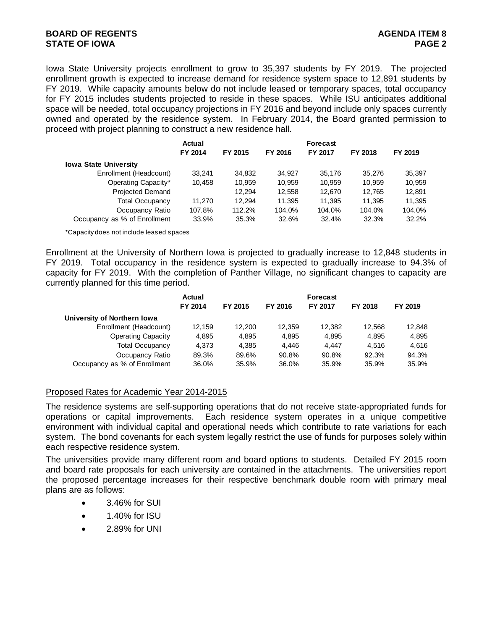Iowa State University projects enrollment to grow to 35,397 students by FY 2019. The projected enrollment growth is expected to increase demand for residence system space to 12,891 students by FY 2019. While capacity amounts below do not include leased or temporary spaces, total occupancy for FY 2015 includes students projected to reside in these spaces. While ISU anticipates additional space will be needed, total occupancy projections in FY 2016 and beyond include only spaces currently owned and operated by the residence system. In February 2014, the Board granted permission to proceed with project planning to construct a new residence hall.

|                              | Actual<br>FY 2014 | FY 2015 | FY 2016 | Forecast<br><b>FY 2017</b> | FY 2018 | FY 2019 |
|------------------------------|-------------------|---------|---------|----------------------------|---------|---------|
|                              |                   |         |         |                            |         |         |
| <b>Iowa State University</b> |                   |         |         |                            |         |         |
| Enrollment (Headcount)       | 33.241            | 34,832  | 34.927  | 35.176                     | 35.276  | 35,397  |
| Operating Capacity*          | 10.458            | 10,959  | 10.959  | 10.959                     | 10,959  | 10,959  |
| <b>Projected Demand</b>      |                   | 12.294  | 12.558  | 12.670                     | 12.765  | 12.891  |
| <b>Total Occupancy</b>       | 11.270            | 12.294  | 11.395  | 11.395                     | 11.395  | 11,395  |
| Occupancy Ratio              | 107.8%            | 112.2%  | 104.0%  | 104.0%                     | 104.0%  | 104.0%  |
| Occupancy as % of Enrollment | 33.9%             | 35.3%   | 32.6%   | 32.4%                      | 32.3%   | 32.2%   |

\*Capacity does not include leased spaces

Enrollment at the University of Northern Iowa is projected to gradually increase to 12,848 students in FY 2019. Total occupancy in the residence system is expected to gradually increase to 94.3% of capacity for FY 2019. With the completion of Panther Village, no significant changes to capacity are currently planned for this time period.

|                              | Actual<br>FY 2014 | FY 2015 | FY 2016 | <b>Forecast</b><br><b>FY 2017</b> | FY 2018 | FY 2019 |
|------------------------------|-------------------|---------|---------|-----------------------------------|---------|---------|
| University of Northern Iowa  |                   |         |         |                                   |         |         |
| Enrollment (Headcount)       | 12.159            | 12.200  | 12.359  | 12.382                            | 12.568  | 12,848  |
| <b>Operating Capacity</b>    | 4.895             | 4.895   | 4.895   | 4.895                             | 4.895   | 4,895   |
| <b>Total Occupancy</b>       | 4.373             | 4.385   | 4.446   | 4.447                             | 4.516   | 4,616   |
| Occupancy Ratio              | 89.3%             | 89.6%   | 90.8%   | 90.8%                             | 92.3%   | 94.3%   |
| Occupancy as % of Enrollment | 36.0%             | 35.9%   | 36.0%   | 35.9%                             | 35.9%   | 35.9%   |

#### Proposed Rates for Academic Year 2014-2015

The residence systems are self-supporting operations that do not receive state-appropriated funds for operations or capital improvements. Each residence system operates in a unique competitive environment with individual capital and operational needs which contribute to rate variations for each system. The bond covenants for each system legally restrict the use of funds for purposes solely within each respective residence system.

The universities provide many different room and board options to students. Detailed FY 2015 room and board rate proposals for each university are contained in the attachments. The universities report the proposed percentage increases for their respective benchmark double room with primary meal plans are as follows:

- 3.46% for SUI
- 1.40% for ISU
- 2.89% for UNI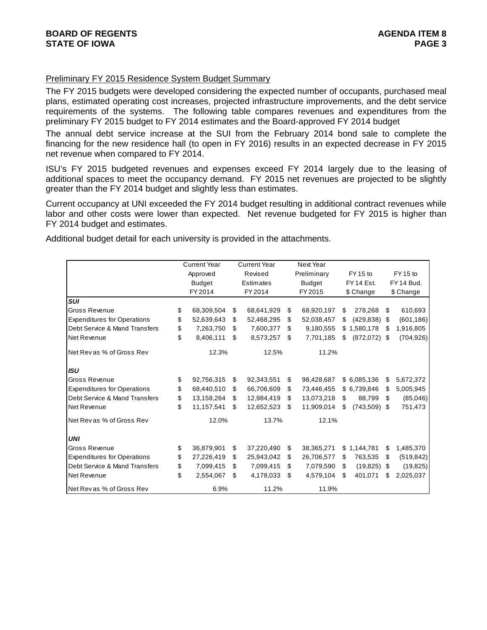## Preliminary FY 2015 Residence System Budget Summary

The FY 2015 budgets were developed considering the expected number of occupants, purchased meal plans, estimated operating cost increases, projected infrastructure improvements, and the debt service requirements of the systems. The following table compares revenues and expenditures from the preliminary FY 2015 budget to FY 2014 estimates and the Board-approved FY 2014 budget

The annual debt service increase at the SUI from the February 2014 bond sale to complete the financing for the new residence hall (to open in FY 2016) results in an expected decrease in FY 2015 net revenue when compared to FY 2014.

ISU's FY 2015 budgeted revenues and expenses exceed FY 2014 largely due to the leasing of additional spaces to meet the occupancy demand. FY 2015 net revenues are projected to be slightly greater than the FY 2014 budget and slightly less than estimates.

Current occupancy at UNI exceeded the FY 2014 budget resulting in additional contract revenues while labor and other costs were lower than expected. Net revenue budgeted for FY 2015 is higher than FY 2014 budget and estimates.

Additional budget detail for each university is provided in the attachments.

|                                    | <b>Current Year</b> |    | <b>Current Year</b> | Next Year        |    |                |    |            |
|------------------------------------|---------------------|----|---------------------|------------------|----|----------------|----|------------|
|                                    | Approved            |    | Revised             | Preliminary      |    | FY 15 to       |    | FY 15 to   |
|                                    | <b>Budget</b>       |    | Estimates           | <b>Budget</b>    |    | FY 14 Est.     |    | FY 14 Bud. |
|                                    | FY 2014             |    | FY 2014             | FY 2015          |    | \$ Change      |    | \$ Change  |
| <b>SUI</b>                         |                     |    |                     |                  |    |                |    |            |
| Gross Revenue                      | \$<br>68,309,504    | \$ | 68,641,929          | \$<br>68,920,197 | \$ | 278,268        | \$ | 610,693    |
| <b>Expenditures for Operations</b> | \$<br>52,639,643    | \$ | 52,468,295          | \$<br>52,038,457 | \$ | (429, 838)     | \$ | (601, 186) |
| Debt Service & Mand Transfers      | \$<br>7,263,750     | \$ | 7,600,377           | \$<br>9,180,555  |    | \$1,580,178    | \$ | 1,916,805  |
| Net Revenue                        | \$<br>8,406,111     | \$ | 8,573,257           | \$<br>7,701,185  | \$ | $(872,072)$ \$ |    | (704, 926) |
| Net Revas % of Gross Rev           | 12.3%               |    | 12.5%               | 11.2%            |    |                |    |            |
| <b>ISU</b>                         |                     |    |                     |                  |    |                |    |            |
| Gross Revenue                      | \$<br>92,756,315    | \$ | 92,343,551          | \$<br>98,428,687 |    | \$6,085,136    | \$ | 5,672,372  |
| <b>Expenditures for Operations</b> | \$<br>68,440,510    | S. | 66,706,609          | \$<br>73,446,455 |    | \$6,739,846    | \$ | 5,005,945  |
| Debt Service & Mand Transfers      | \$<br>13,158,264    | \$ | 12,984,419          | \$<br>13,073,218 | \$ | 88,799         | \$ | (85,046)   |
| Net Revenue                        | \$<br>11,157,541    | \$ | 12,652,523          | \$<br>11,909,014 | \$ | (743, 509)     | \$ | 751,473    |
| Net Revas % of Gross Rev           | 12.0%               |    | 13.7%               | 12.1%            |    |                |    |            |
| <b>UNI</b>                         |                     |    |                     |                  |    |                |    |            |
| Gross Revenue                      | \$<br>36,879,901    | \$ | 37,220,490          | \$<br>38,365,271 |    | \$1,144,781    | \$ | 1,485,370  |
| <b>Expenditures for Operations</b> | \$<br>27,226,419    | \$ | 25,943,042          | \$<br>26,706,577 | \$ | 763,535        | \$ | (519, 842) |
| Debt Service & Mand Transfers      | \$<br>7,099,415     | \$ | 7,099,415           | \$<br>7,079,590  | S  | (19, 825)      | \$ | (19, 825)  |
| Net Revenue                        | \$<br>2,554,067     | \$ | 4,178,033           | \$<br>4,579,104  | \$ | 401,071        | S  | 2,025,037  |
| lNet Revas % of Gross Rev          | 6.9%                |    | 11.2%               | 11.9%            |    |                |    |            |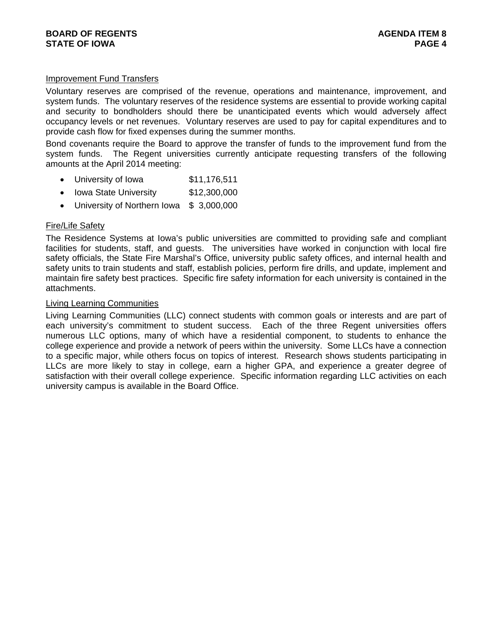# Improvement Fund Transfers

Voluntary reserves are comprised of the revenue, operations and maintenance, improvement, and system funds. The voluntary reserves of the residence systems are essential to provide working capital and security to bondholders should there be unanticipated events which would adversely affect occupancy levels or net revenues. Voluntary reserves are used to pay for capital expenditures and to provide cash flow for fixed expenses during the summer months.

Bond covenants require the Board to approve the transfer of funds to the improvement fund from the system funds. The Regent universities currently anticipate requesting transfers of the following amounts at the April 2014 meeting:

- University of Iowa \$11,176,511
- Iowa State University \$12,300,000
- University of Northern Iowa \$ 3,000,000

#### Fire/Life Safety

The Residence Systems at Iowa's public universities are committed to providing safe and compliant facilities for students, staff, and guests. The universities have worked in conjunction with local fire safety officials, the State Fire Marshal's Office, university public safety offices, and internal health and safety units to train students and staff, establish policies, perform fire drills, and update, implement and maintain fire safety best practices. Specific fire safety information for each university is contained in the attachments.

#### Living Learning Communities

Living Learning Communities (LLC) connect students with common goals or interests and are part of each university's commitment to student success. Each of the three Regent universities offers numerous LLC options, many of which have a residential component, to students to enhance the college experience and provide a network of peers within the university. Some LLCs have a connection to a specific major, while others focus on topics of interest. Research shows students participating in LLCs are more likely to stay in college, earn a higher GPA, and experience a greater degree of satisfaction with their overall college experience. Specific information regarding LLC activities on each university campus is available in the Board Office.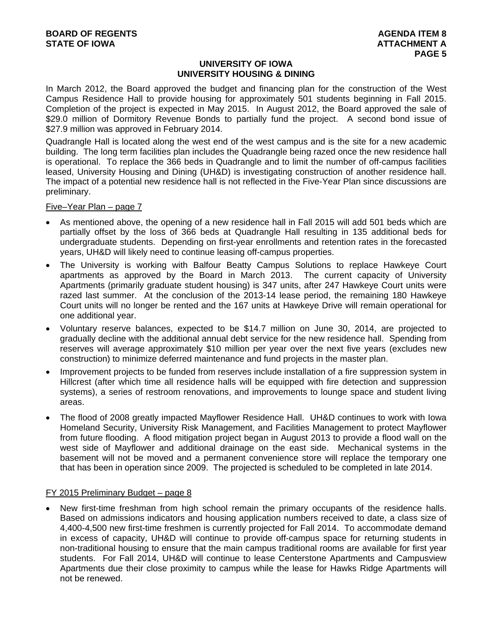## **UNIVERSITY OF IOWA UNIVERSITY HOUSING & DINING**

In March 2012, the Board approved the budget and financing plan for the construction of the West Campus Residence Hall to provide housing for approximately 501 students beginning in Fall 2015. Completion of the project is expected in May 2015. In August 2012, the Board approved the sale of \$29.0 million of Dormitory Revenue Bonds to partially fund the project. A second bond issue of \$27.9 million was approved in February 2014.

Quadrangle Hall is located along the west end of the west campus and is the site for a new academic building. The long term facilities plan includes the Quadrangle being razed once the new residence hall is operational. To replace the 366 beds in Quadrangle and to limit the number of off-campus facilities leased, University Housing and Dining (UH&D) is investigating construction of another residence hall. The impact of a potential new residence hall is not reflected in the Five-Year Plan since discussions are preliminary.

Five–Year Plan – page 7

- As mentioned above, the opening of a new residence hall in Fall 2015 will add 501 beds which are partially offset by the loss of 366 beds at Quadrangle Hall resulting in 135 additional beds for undergraduate students. Depending on first-year enrollments and retention rates in the forecasted years, UH&D will likely need to continue leasing off-campus properties.
- The University is working with Balfour Beatty Campus Solutions to replace Hawkeye Court apartments as approved by the Board in March 2013. The current capacity of University Apartments (primarily graduate student housing) is 347 units, after 247 Hawkeye Court units were razed last summer. At the conclusion of the 2013-14 lease period, the remaining 180 Hawkeye Court units will no longer be rented and the 167 units at Hawkeye Drive will remain operational for one additional year.
- Voluntary reserve balances, expected to be \$14.7 million on June 30, 2014, are projected to gradually decline with the additional annual debt service for the new residence hall. Spending from reserves will average approximately \$10 million per year over the next five years (excludes new construction) to minimize deferred maintenance and fund projects in the master plan.
- Improvement projects to be funded from reserves include installation of a fire suppression system in Hillcrest (after which time all residence halls will be equipped with fire detection and suppression systems), a series of restroom renovations, and improvements to lounge space and student living areas.
- The flood of 2008 greatly impacted Mayflower Residence Hall. UH&D continues to work with Iowa Homeland Security, University Risk Management, and Facilities Management to protect Mayflower from future flooding. A flood mitigation project began in August 2013 to provide a flood wall on the west side of Mayflower and additional drainage on the east side. Mechanical systems in the basement will not be moved and a permanent convenience store will replace the temporary one that has been in operation since 2009. The projected is scheduled to be completed in late 2014.

#### FY 2015 Preliminary Budget – page 8

 New first-time freshman from high school remain the primary occupants of the residence halls. Based on admissions indicators and housing application numbers received to date, a class size of 4,400-4,500 new first-time freshmen is currently projected for Fall 2014. To accommodate demand in excess of capacity, UH&D will continue to provide off-campus space for returning students in non-traditional housing to ensure that the main campus traditional rooms are available for first year students. For Fall 2014, UH&D will continue to lease Centerstone Apartments and Campusview Apartments due their close proximity to campus while the lease for Hawks Ridge Apartments will not be renewed.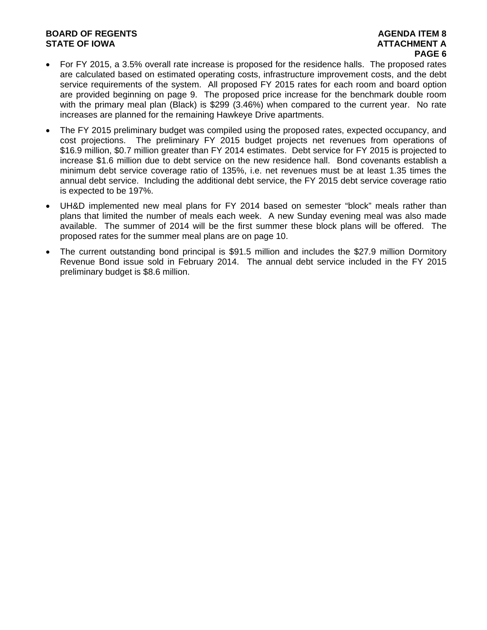# **BOARD OF REGENTS AGENERAL LIGHT CONSUMING A SERIES AGENDA ITEM 8 STATE OF IOWA ATTACHMENT A**

# **PAGE 6**

- For FY 2015, a 3.5% overall rate increase is proposed for the residence halls. The proposed rates are calculated based on estimated operating costs, infrastructure improvement costs, and the debt service requirements of the system. All proposed FY 2015 rates for each room and board option are provided beginning on page 9. The proposed price increase for the benchmark double room with the primary meal plan (Black) is \$299 (3.46%) when compared to the current year. No rate increases are planned for the remaining Hawkeye Drive apartments.
- The FY 2015 preliminary budget was compiled using the proposed rates, expected occupancy, and cost projections. The preliminary FY 2015 budget projects net revenues from operations of \$16.9 million, \$0.7 million greater than FY 2014 estimates. Debt service for FY 2015 is projected to increase \$1.6 million due to debt service on the new residence hall. Bond covenants establish a minimum debt service coverage ratio of 135%, i.e. net revenues must be at least 1.35 times the annual debt service. Including the additional debt service, the FY 2015 debt service coverage ratio is expected to be 197%.
- UH&D implemented new meal plans for FY 2014 based on semester "block" meals rather than plans that limited the number of meals each week. A new Sunday evening meal was also made available. The summer of 2014 will be the first summer these block plans will be offered. The proposed rates for the summer meal plans are on page 10.
- The current outstanding bond principal is \$91.5 million and includes the \$27.9 million Dormitory Revenue Bond issue sold in February 2014. The annual debt service included in the FY 2015 preliminary budget is \$8.6 million.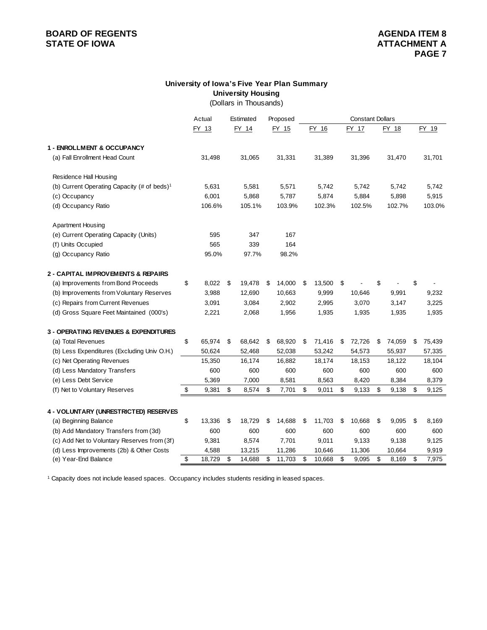# **BOARD OF REGENTS**<br> **BOARD OF REGENTS**<br> **STATE OF IOWA**<br> **ATTACHMENT A**

# **University of Iowa's Five Year Plan Summary University Housing**

(Dollars in Thousands)

|                                                         | Actual       | Estimated    | Proposed     |              | <b>Constant Dollars</b> |              |              |
|---------------------------------------------------------|--------------|--------------|--------------|--------------|-------------------------|--------------|--------------|
|                                                         | FY 13        | FY 14        | FY 15        | FY 16        | FY 17                   | FY 18        | FY 19        |
|                                                         |              |              |              |              |                         |              |              |
| 1 - ENROLLMENT & OCCUPANCY                              |              |              |              |              |                         |              |              |
| (a) Fall Enrollment Head Count                          | 31,498       | 31,065       | 31,331       | 31,389       | 31,396                  | 31,470       | 31,701       |
| Residence Hall Housing                                  |              |              |              |              |                         |              |              |
| (b) Current Operating Capacity (# of beds) <sup>1</sup> | 5,631        | 5,581        | 5,571        | 5,742        | 5,742                   | 5,742        | 5,742        |
| (c) Occupancy                                           | 6,001        | 5,868        | 5,787        | 5,874        | 5,884                   | 5,898        | 5,915        |
| (d) Occupancy Ratio                                     | 106.6%       | 105.1%       | 103.9%       | 102.3%       | 102.5%                  | 102.7%       | 103.0%       |
| <b>Apartment Housing</b>                                |              |              |              |              |                         |              |              |
| (e) Current Operating Capacity (Units)                  | 595          | 347          | 167          |              |                         |              |              |
| (f) Units Occupied                                      | 565          | 339          | 164          |              |                         |              |              |
| (g) Occupancy Ratio                                     | 95.0%        | 97.7%        | 98.2%        |              |                         |              |              |
| 2 - CAPITAL IMPROVEMENTS & REPAIRS                      |              |              |              |              |                         |              |              |
| (a) Improvements from Bond Proceeds                     | \$<br>8,022  | \$<br>19,478 | \$<br>14,000 | \$<br>13,500 | \$                      | \$           | \$           |
| (b) Improvements from Voluntary Reserves                | 3,988        | 12,690       | 10,663       | 9,999        | 10,646                  | 9,991        | 9,232        |
| (c) Repairs from Current Revenues                       | 3,091        | 3,084        | 2,902        | 2,995        | 3,070                   | 3,147        | 3,225        |
| (d) Gross Square Feet Maintained (000's)                | 2,221        | 2,068        | 1,956        | 1,935        | 1,935                   | 1,935        | 1,935        |
| 3 - OPERATING REVENUES & EXPENDITURES                   |              |              |              |              |                         |              |              |
| (a) Total Revenues                                      | \$<br>65,974 | \$<br>68,642 | \$<br>68,920 | \$<br>71,416 | \$<br>72,726            | \$<br>74,059 | \$<br>75,439 |
| (b) Less Expenditures (Excluding Univ O.H.)             | 50,624       | 52,468       | 52,038       | 53,242       | 54,573                  | 55,937       | 57,335       |
| (c) Net Operating Revenues                              | 15,350       | 16,174       | 16,882       | 18,174       | 18,153                  | 18,122       | 18,104       |
| (d) Less Mandatory Transfers                            | 600          | 600          | 600          | 600          | 600                     | 600          | 600          |
| (e) Less Debt Service                                   | 5,369        | 7,000        | 8,581        | 8,563        | 8,420                   | 8,384        | 8,379        |
| (f) Net to Voluntary Reserves                           | \$<br>9,381  | \$<br>8,574  | \$<br>7,701  | \$<br>9,011  | \$<br>9,133             | \$<br>9,138  | \$<br>9,125  |
|                                                         |              |              |              |              |                         |              |              |
| 4 - VOLUNTARY (UNRESTRICTED) RESERVES                   |              |              |              |              |                         |              |              |
| (a) Beginning Balance                                   | \$<br>13,336 | \$<br>18,729 | \$<br>14,688 | \$<br>11,703 | \$<br>10,668            | \$<br>9,095  | \$<br>8,169  |
| (b) Add Mandatory Transfers from (3d)                   | 600          | 600          | 600          | 600          | 600                     | 600          | 600          |
| (c) Add Net to Voluntary Reserves from (3f)             | 9,381        | 8,574        | 7,701        | 9,011        | 9,133                   | 9,138        | 9,125        |
| (d) Less Improvements (2b) & Other Costs                | 4,588        | 13,215       | 11,286       | 10,646       | 11,306                  | 10,664       | 9,919        |
| (e) Year-End Balance                                    | \$<br>18,729 | \$<br>14,688 | \$<br>11,703 | \$<br>10,668 | \$<br>9,095             | \$<br>8,169  | \$<br>7,975  |

<sup>1</sup> Capacity does not include leased spaces. Occupancy includes students residing in leased spaces.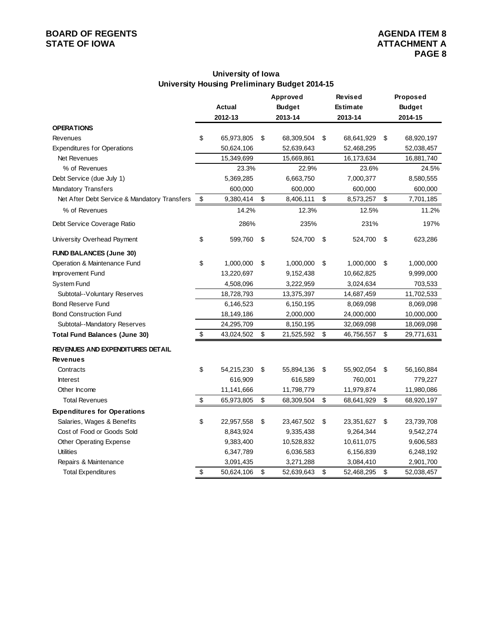# **BOARD OF REGENTS**<br> **BOARD OF REGENTS**<br> **STATE OF IOWA**<br> **ATTACHMENT A**

# **University of Iowa University Housing Preliminary Budget 2014-15**

|                                              | Approved |               |    | <b>Revised</b> |                  | Proposed                |               |  |
|----------------------------------------------|----------|---------------|----|----------------|------------------|-------------------------|---------------|--|
|                                              |          | <b>Actual</b> |    | <b>Budget</b>  | Estimate         |                         | <b>Budget</b> |  |
|                                              |          | 2012-13       |    | 2013-14        | 2013-14          |                         | 2014-15       |  |
| <b>OPERATIONS</b>                            |          |               |    |                |                  |                         |               |  |
| Revenues                                     | \$       | 65,973,805    | \$ | 68,309,504     | \$<br>68,641,929 | \$                      | 68,920,197    |  |
| <b>Expenditures for Operations</b>           |          | 50,624,106    |    | 52,639,643     | 52,468,295       |                         | 52,038,457    |  |
| Net Revenues                                 |          | 15,349,699    |    | 15,669,861     | 16,173,634       |                         | 16,881,740    |  |
| % of Revenues                                |          | 23.3%         |    | 22.9%          | 23.6%            |                         | 24.5%         |  |
| Debt Service (due July 1)                    |          | 5,369,285     |    | 6,663,750      | 7,000,377        |                         | 8,580,555     |  |
| Mandatory Transfers                          |          | 600,000       |    | 600,000        | 600,000          |                         | 600,000       |  |
| Net After Debt Service & Mandatory Transfers | \$       | 9,380,414     | \$ | 8,406,111      | \$<br>8,573,257  | $\sqrt[6]{\frac{1}{2}}$ | 7,701,185     |  |
| % of Revenues                                |          | 14.2%         |    | 12.3%          | 12.5%            |                         | 11.2%         |  |
| Debt Service Coverage Ratio                  |          | 286%          |    | 235%           | 231%             |                         | 197%          |  |
| University Overhead Payment                  | \$       | 599,760       | \$ | 524,700        | \$<br>524,700    | \$                      | 623,286       |  |
| <b>FUND BALANCES (June 30)</b>               |          |               |    |                |                  |                         |               |  |
| Operation & Maintenance Fund                 | \$       | 1,000,000     | \$ | 1,000,000      | \$<br>1,000,000  | \$                      | 1,000,000     |  |
| Improvement Fund                             |          | 13,220,697    |    | 9,152,438      | 10,662,825       |                         | 9,999,000     |  |
| System Fund                                  |          | 4,508,096     |    | 3,222,959      | 3,024,634        |                         | 703,533       |  |
| Subtotal--Voluntary Reserves                 |          | 18,728,793    |    | 13,375,397     | 14,687,459       |                         | 11,702,533    |  |
| <b>Bond Reserve Fund</b>                     |          | 6,146,523     |    | 6,150,195      | 8,069,098        |                         | 8,069,098     |  |
| <b>Bond Construction Fund</b>                |          | 18,149,186    |    | 2,000,000      | 24,000,000       |                         | 10,000,000    |  |
| Subtotal--Mandatory Reserves                 |          | 24,295,709    |    | 8,150,195      | 32,069,098       |                         | 18,069,098    |  |
| <b>Total Fund Balances (June 30)</b>         | \$       | 43,024,502    | \$ | 21,525,592     | \$<br>46,756,557 | \$                      | 29,771,631    |  |
| REVENUES AND EXPENDITURES DETAIL             |          |               |    |                |                  |                         |               |  |
| <b>Revenues</b>                              |          |               |    |                |                  |                         |               |  |
| Contracts                                    | \$       | 54,215,230    | \$ | 55,894,136     | \$<br>55,902,054 | \$                      | 56,160,884    |  |
| <b>Interest</b>                              |          | 616,909       |    | 616,589        | 760,001          |                         | 779,227       |  |
| Other Income                                 |          | 11,141,666    |    | 11,798,779     | 11,979,874       |                         | 11,980,086    |  |
| <b>Total Revenues</b>                        | \$       | 65,973,805    | \$ | 68,309,504     | \$<br>68,641,929 | \$                      | 68,920,197    |  |
| <b>Expenditures for Operations</b>           |          |               |    |                |                  |                         |               |  |
| Salaries, Wages & Benefits                   | \$       | 22,957,558    | \$ | 23,467,502     | \$<br>23,351,627 | \$                      | 23,739,708    |  |
| Cost of Food or Goods Sold                   |          | 8,843,924     |    | 9,335,438      | 9,264,344        |                         | 9,542,274     |  |
| Other Operating Expense                      |          | 9,383,400     |    | 10,528,832     | 10,611,075       |                         | 9,606,583     |  |
| <b>Utilities</b>                             |          | 6,347,789     |    | 6,036,583      | 6,156,839        |                         | 6,248,192     |  |
| Repairs & Maintenance                        |          | 3,091,435     |    | 3,271,288      | 3,084,410        |                         | 2,901,700     |  |
| <b>Total Expenditures</b>                    | \$       | 50,624,106    | \$ | 52,639,643     | \$<br>52,468,295 | \$                      | 52,038,457    |  |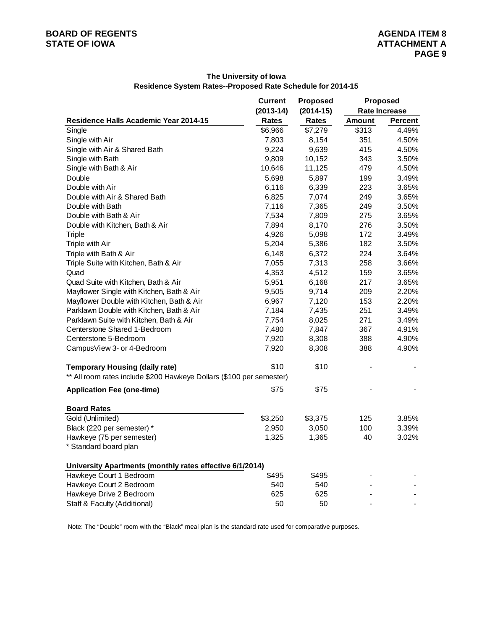|                                                                      | <b>Current</b> | <b>Proposed</b> | <b>Proposed</b> |                      |  |  |  |  |
|----------------------------------------------------------------------|----------------|-----------------|-----------------|----------------------|--|--|--|--|
|                                                                      | $(2013-14)$    | $(2014-15)$     |                 | <b>Rate Increase</b> |  |  |  |  |
| <b>Residence Halls Academic Year 2014-15</b>                         | Rates          | Rates           | <b>Amount</b>   | <b>Percent</b>       |  |  |  |  |
| Single                                                               | \$6,966        | \$7,279         | \$313           | 4.49%                |  |  |  |  |
| Single with Air                                                      | 7,803          | 8,154           | 351             | 4.50%                |  |  |  |  |
| Single with Air & Shared Bath                                        | 9,224          | 9,639           | 415             | 4.50%                |  |  |  |  |
| Single with Bath                                                     | 9,809          | 10,152          | 343             | 3.50%                |  |  |  |  |
| Single with Bath & Air                                               | 10,646         | 11,125          | 479             | 4.50%                |  |  |  |  |
| Double                                                               | 5,698          | 5,897           | 199             | 3.49%                |  |  |  |  |
| Double with Air                                                      | 6,116          | 6,339           | 223             | 3.65%                |  |  |  |  |
| Double with Air & Shared Bath                                        | 6,825          | 7,074           | 249             | 3.65%                |  |  |  |  |
| Double with Bath                                                     | 7,116          | 7,365           | 249             | 3.50%                |  |  |  |  |
| Double with Bath & Air                                               | 7,534          | 7,809           | 275             | 3.65%                |  |  |  |  |
| Double with Kitchen, Bath & Air                                      | 7,894          | 8,170           | 276             | 3.50%                |  |  |  |  |
| <b>Triple</b>                                                        | 4,926          | 5,098           | 172             | 3.49%                |  |  |  |  |
| Triple with Air                                                      | 5,204          | 5,386           | 182             | 3.50%                |  |  |  |  |
| Triple with Bath & Air                                               | 6,148          | 6,372           | 224             | 3.64%                |  |  |  |  |
| Triple Suite with Kitchen, Bath & Air                                | 7,055          | 7,313           | 258             | 3.66%                |  |  |  |  |
| Quad                                                                 | 4,353          | 4,512           | 159             | 3.65%                |  |  |  |  |
| Quad Suite with Kitchen, Bath & Air                                  | 5,951          | 6,168           | 217             | 3.65%                |  |  |  |  |
| Mayflower Single with Kitchen, Bath & Air                            | 9,505          | 9,714           | 209             | 2.20%                |  |  |  |  |
| Mayflower Double with Kitchen, Bath & Air                            | 6,967          | 7,120           | 153             | 2.20%                |  |  |  |  |
| Parklawn Double with Kitchen, Bath & Air                             | 7,184          | 7,435           | 251             | 3.49%                |  |  |  |  |
| Parklawn Suite with Kitchen, Bath & Air                              | 7,754          | 8,025           | 271             | 3.49%                |  |  |  |  |
| Centerstone Shared 1-Bedroom                                         | 7,480          | 7,847           | 367             | 4.91%                |  |  |  |  |
| Centerstone 5-Bedroom                                                | 7,920          | 8,308           | 388             | 4.90%                |  |  |  |  |
| CampusView 3- or 4-Bedroom                                           | 7,920          | 8,308           | 388             | 4.90%                |  |  |  |  |
| <b>Temporary Housing (daily rate)</b>                                | \$10           | \$10            |                 |                      |  |  |  |  |
| ** All room rates include \$200 Hawkeye Dollars (\$100 per semester) |                |                 |                 |                      |  |  |  |  |
| <b>Application Fee (one-time)</b>                                    | \$75           | \$75            |                 |                      |  |  |  |  |
| <b>Board Rates</b>                                                   |                |                 |                 |                      |  |  |  |  |
| Gold (Unlimited)                                                     | \$3,250        | \$3,375         | 125             | 3.85%                |  |  |  |  |
| Black (220 per semester) *                                           | 2,950          | 3,050           | 100             | 3.39%                |  |  |  |  |
| Hawkeye (75 per semester)                                            | 1,325          | 1,365           | 40              | 3.02%                |  |  |  |  |
| * Standard board plan                                                |                |                 |                 |                      |  |  |  |  |
| University Apartments (monthly rates effective 6/1/2014)             |                |                 |                 |                      |  |  |  |  |
| Hawkeye Court 1 Bedroom                                              | \$495          | \$495           |                 |                      |  |  |  |  |
| Hawkeye Court 2 Bedroom                                              | 540            | 540             |                 |                      |  |  |  |  |
| Hawkeye Drive 2 Bedroom                                              | 625            | 625             |                 |                      |  |  |  |  |
| Staff & Faculty (Additional)                                         | 50             | 50              |                 |                      |  |  |  |  |

#### **The University of Iowa Residence System Rates--Proposed Rate Schedule for 2014-15**

Note: The "Double" room with the "Black" meal plan is the standard rate used for comparative purposes.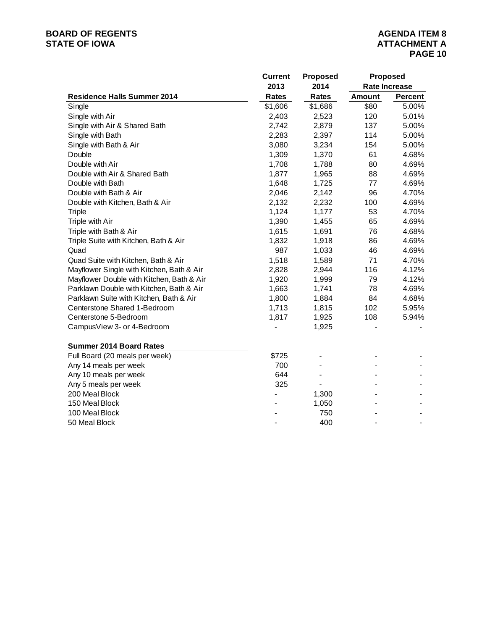# **BOARD OF REGENTS**<br> **BOARD OF REGENTS**<br> **STATE OF IOWA**<br> **ATTACHMENT A**

|                                           | <b>Current</b> | <b>Proposed</b> |               | <b>Proposed</b>      |
|-------------------------------------------|----------------|-----------------|---------------|----------------------|
|                                           | 2013           | 2014            |               | <b>Rate Increase</b> |
| <b>Residence Halls Summer 2014</b>        | <b>Rates</b>   | <b>Rates</b>    | <b>Amount</b> | <b>Percent</b>       |
| Single                                    | \$1,606        | \$1,686         | \$80          | 5.00%                |
| Single with Air                           | 2,403          | 2,523           | 120           | 5.01%                |
| Single with Air & Shared Bath             | 2,742          | 2,879           | 137           | 5.00%                |
| Single with Bath                          | 2,283          | 2,397           | 114           | 5.00%                |
| Single with Bath & Air                    | 3,080          | 3,234           | 154           | 5.00%                |
| Double                                    | 1,309          | 1,370           | 61            | 4.68%                |
| Double with Air                           | 1,708          | 1,788           | 80            | 4.69%                |
| Double with Air & Shared Bath             | 1,877          | 1,965           | 88            | 4.69%                |
| Double with Bath                          | 1,648          | 1,725           | 77            | 4.69%                |
| Double with Bath & Air                    | 2,046          | 2,142           | 96            | 4.70%                |
| Double with Kitchen, Bath & Air           | 2,132          | 2,232           | 100           | 4.69%                |
| <b>Triple</b>                             | 1,124          | 1,177           | 53            | 4.70%                |
| Triple with Air                           | 1,390          | 1,455           | 65            | 4.69%                |
| Triple with Bath & Air                    | 1,615          | 1,691           | 76            | 4.68%                |
| Triple Suite with Kitchen, Bath & Air     | 1,832          | 1,918           | 86            | 4.69%                |
| Quad                                      | 987            | 1,033           | 46            | 4.69%                |
| Quad Suite with Kitchen, Bath & Air       | 1,518          | 1,589           | 71            | 4.70%                |
| Mayflower Single with Kitchen, Bath & Air | 2,828          | 2,944           | 116           | 4.12%                |
| Mayflower Double with Kitchen, Bath & Air | 1,920          | 1,999           | 79            | 4.12%                |
| Parklawn Double with Kitchen, Bath & Air  | 1,663          | 1,741           | 78            | 4.69%                |
| Parklawn Suite with Kitchen, Bath & Air   | 1,800          | 1,884           | 84            | 4.68%                |
| Centerstone Shared 1-Bedroom              | 1,713          | 1,815           | 102           | 5.95%                |
| Centerstone 5-Bedroom                     | 1,817          | 1,925           | 108           | 5.94%                |
| CampusView 3- or 4-Bedroom                |                | 1,925           |               |                      |
| <b>Summer 2014 Board Rates</b>            |                |                 |               |                      |
| Full Board (20 meals per week)            | \$725          |                 |               |                      |
| Any 14 meals per week                     | 700            |                 |               |                      |
| Any 10 meals per week                     | 644            |                 |               |                      |
| Any 5 meals per week                      | 325            |                 |               |                      |
| 200 Meal Block                            |                | 1,300           |               |                      |
| 150 Meal Block                            |                | 1,050           |               |                      |
| 100 Meal Block                            |                | 750             |               |                      |
| 50 Meal Block                             |                | 400             |               |                      |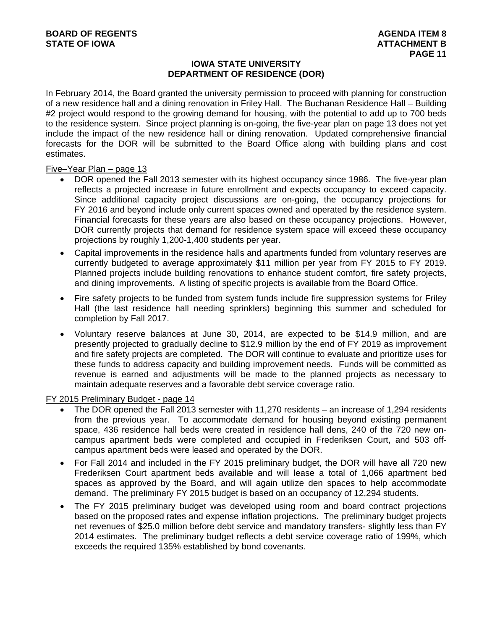### **IOWA STATE UNIVERSITY DEPARTMENT OF RESIDENCE (DOR)**

In February 2014, the Board granted the university permission to proceed with planning for construction of a new residence hall and a dining renovation in Friley Hall. The Buchanan Residence Hall – Building #2 project would respond to the growing demand for housing, with the potential to add up to 700 beds to the residence system. Since project planning is on-going, the five-year plan on page 13 does not yet include the impact of the new residence hall or dining renovation. Updated comprehensive financial forecasts for the DOR will be submitted to the Board Office along with building plans and cost estimates.

Five–Year Plan – page 13

- DOR opened the Fall 2013 semester with its highest occupancy since 1986. The five-year plan reflects a projected increase in future enrollment and expects occupancy to exceed capacity. Since additional capacity project discussions are on-going, the occupancy projections for FY 2016 and beyond include only current spaces owned and operated by the residence system. Financial forecasts for these years are also based on these occupancy projections. However, DOR currently projects that demand for residence system space will exceed these occupancy projections by roughly 1,200-1,400 students per year.
- Capital improvements in the residence halls and apartments funded from voluntary reserves are currently budgeted to average approximately \$11 million per year from FY 2015 to FY 2019. Planned projects include building renovations to enhance student comfort, fire safety projects, and dining improvements. A listing of specific projects is available from the Board Office.
- Fire safety projects to be funded from system funds include fire suppression systems for Friley Hall (the last residence hall needing sprinklers) beginning this summer and scheduled for completion by Fall 2017.
- Voluntary reserve balances at June 30, 2014, are expected to be \$14.9 million, and are presently projected to gradually decline to \$12.9 million by the end of FY 2019 as improvement and fire safety projects are completed. The DOR will continue to evaluate and prioritize uses for these funds to address capacity and building improvement needs. Funds will be committed as revenue is earned and adjustments will be made to the planned projects as necessary to maintain adequate reserves and a favorable debt service coverage ratio.

FY 2015 Preliminary Budget - page 14

- The DOR opened the Fall 2013 semester with 11,270 residents an increase of 1,294 residents from the previous year. To accommodate demand for housing beyond existing permanent space, 436 residence hall beds were created in residence hall dens, 240 of the 720 new oncampus apartment beds were completed and occupied in Frederiksen Court, and 503 offcampus apartment beds were leased and operated by the DOR.
- For Fall 2014 and included in the FY 2015 preliminary budget, the DOR will have all 720 new Frederiksen Court apartment beds available and will lease a total of 1,066 apartment bed spaces as approved by the Board, and will again utilize den spaces to help accommodate demand. The preliminary FY 2015 budget is based on an occupancy of 12,294 students.
- The FY 2015 preliminary budget was developed using room and board contract projections based on the proposed rates and expense inflation projections. The preliminary budget projects net revenues of \$25.0 million before debt service and mandatory transfers- slightly less than FY 2014 estimates. The preliminary budget reflects a debt service coverage ratio of 199%, which exceeds the required 135% established by bond covenants.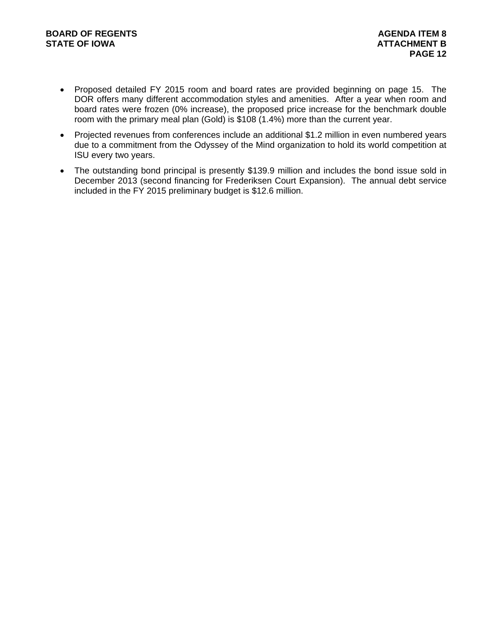- Proposed detailed FY 2015 room and board rates are provided beginning on page 15. The DOR offers many different accommodation styles and amenities. After a year when room and board rates were frozen (0% increase), the proposed price increase for the benchmark double room with the primary meal plan (Gold) is \$108 (1.4%) more than the current year.
- Projected revenues from conferences include an additional \$1.2 million in even numbered years due to a commitment from the Odyssey of the Mind organization to hold its world competition at ISU every two years.
- The outstanding bond principal is presently \$139.9 million and includes the bond issue sold in December 2013 (second financing for Frederiksen Court Expansion). The annual debt service included in the FY 2015 preliminary budget is \$12.6 million.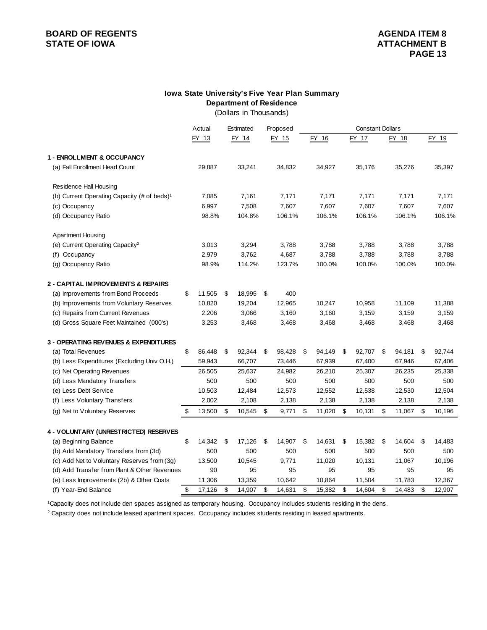# **BOARD OF REGENTS**<br> **BOARD OF REGENTS**<br> **BOARD OF IOWA**<br> **BOARD OF IOWA**<br> **ATTACHMENT B**

#### **Department of Residence Iowa State University's Five Year Plan Summary**

(Dollars in Thousands)

|                                                         | Actual       | Estimated    | Proposed     | <b>Constant Dollars</b> |    |        |    |        |    |        |
|---------------------------------------------------------|--------------|--------------|--------------|-------------------------|----|--------|----|--------|----|--------|
|                                                         | FY 13        | FY 14        | FY 15        | FY 16                   |    | FY 17  |    | FY 18  |    | FY 19  |
| 1 - ENROLLMENT & OCCUPANCY                              |              |              |              |                         |    |        |    |        |    |        |
| (a) Fall Enrollment Head Count                          | 29,887       | 33,241       | 34,832       | 34,927                  |    | 35,176 |    | 35,276 |    | 35,397 |
| <b>Residence Hall Housing</b>                           |              |              |              |                         |    |        |    |        |    |        |
| (b) Current Operating Capacity (# of beds) <sup>1</sup> | 7,085        | 7,161        | 7,171        | 7,171                   |    | 7,171  |    | 7,171  |    | 7,171  |
| (c) Occupancy                                           | 6,997        | 7,508        | 7,607        | 7,607                   |    | 7,607  |    | 7,607  |    | 7,607  |
| (d) Occupancy Ratio                                     | 98.8%        | 104.8%       | 106.1%       | 106.1%                  |    | 106.1% |    | 106.1% |    | 106.1% |
| <b>Apartment Housing</b>                                |              |              |              |                         |    |        |    |        |    |        |
| (e) Current Operating Capacity <sup>2</sup>             | 3,013        | 3,294        | 3,788        | 3,788                   |    | 3,788  |    | 3,788  |    | 3,788  |
| (f) Occupancy                                           | 2,979        | 3,762        | 4,687        | 3,788                   |    | 3,788  |    | 3,788  |    | 3,788  |
| (g) Occupancy Ratio                                     | 98.9%        | 114.2%       | 123.7%       | 100.0%                  |    | 100.0% |    | 100.0% |    | 100.0% |
| 2 - CAPITAL IMPROVEMENTS & REPAIRS                      |              |              |              |                         |    |        |    |        |    |        |
| (a) Improvements from Bond Proceeds                     | \$<br>11,505 | \$<br>18,995 | \$<br>400    |                         |    |        |    |        |    |        |
| (b) Improvements from Voluntary Reserves                | 10,820       | 19,204       | 12,965       | 10,247                  |    | 10,958 |    | 11,109 |    | 11,388 |
| (c) Repairs from Current Revenues                       | 2,206        | 3,066        | 3,160        | 3,160                   |    | 3,159  |    | 3,159  |    | 3,159  |
| (d) Gross Square Feet Maintained (000's)                | 3,253        | 3,468        | 3,468        | 3,468                   |    | 3,468  |    | 3,468  |    | 3,468  |
| <b>3 - OPERATING REVENUES &amp; EXPENDITURES</b>        |              |              |              |                         |    |        |    |        |    |        |
| (a) Total Revenues                                      | \$<br>86,448 | \$<br>92,344 | \$<br>98,428 | \$<br>94,149            | \$ | 92,707 | \$ | 94,181 | \$ | 92,744 |
| (b) Less Expenditures (Excluding Univ O.H.)             | 59,943       | 66,707       | 73,446       | 67,939                  |    | 67,400 |    | 67,946 |    | 67,406 |
| (c) Net Operating Revenues                              | 26,505       | 25,637       | 24,982       | 26,210                  |    | 25,307 |    | 26,235 |    | 25,338 |
| (d) Less Mandatory Transfers                            | 500          | 500          | 500          | 500                     |    | 500    |    | 500    |    | 500    |
| (e) Less Debt Service                                   | 10,503       | 12,484       | 12,573       | 12,552                  |    | 12,538 |    | 12,530 |    | 12,504 |
| (f) Less Voluntary Transfers                            | 2,002        | 2,108        | 2,138        | 2,138                   |    | 2,138  |    | 2,138  |    | 2,138  |
| (g) Net to Voluntary Reserves                           | \$<br>13,500 | \$<br>10,545 | \$<br>9,771  | \$<br>11,020            | \$ | 10,131 | \$ | 11,067 | \$ | 10,196 |
| 4 - VOLUNTARY (UNRESTRICTED) RESERVES                   |              |              |              |                         |    |        |    |        |    |        |
| (a) Beginning Balance                                   | \$<br>14,342 | \$<br>17,126 | \$<br>14,907 | \$<br>14,631            | \$ | 15,382 | \$ | 14,604 | \$ | 14,483 |
| (b) Add Mandatory Transfers from (3d)                   | 500          | 500          | 500          | 500                     |    | 500    |    | 500    |    | 500    |
| (c) Add Net to Voluntary Reserves from (3g)             | 13,500       | 10,545       | 9,771        | 11,020                  |    | 10,131 |    | 11,067 |    | 10,196 |
| (d) Add Transfer from Plant & Other Revenues            | 90           | 95           | 95           | 95                      |    | 95     |    | 95     |    | 95     |
| (e) Less Improvements (2b) & Other Costs                | 11,306       | 13,359       | 10,642       | 10,864                  |    | 11,504 |    | 11,783 |    | 12,367 |
| (f) Year-End Balance                                    | \$<br>17,126 | \$<br>14,907 | \$<br>14,631 | \$<br>15,382            | \$ | 14,604 | \$ | 14,483 | \$ | 12,907 |

1Capacity does not include den spaces assigned as temporary housing. Occupancy includes students residing in the dens.

<sup>2</sup> Capacity does not include leased apartment spaces. Occupancy includes students residing in leased apartments.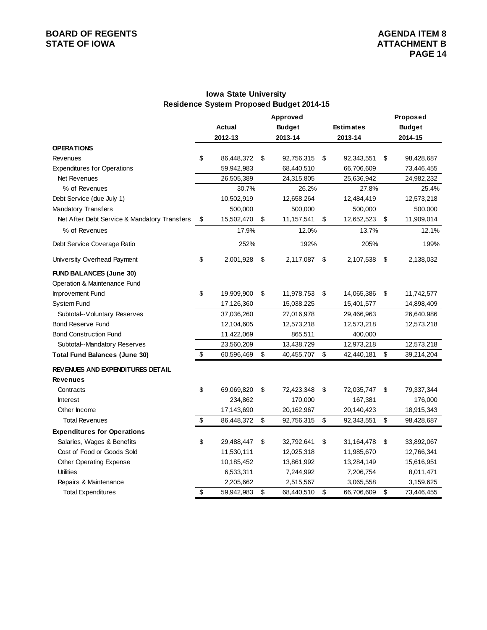# **BOARD OF REGENTS**<br> **BOARD OF REGENTS**<br> **STATE OF IOWA**<br> **BOARD OF REGENTS**

### **Iowa State University Residence System Proposed Budget 2014-15**

|                                                                |                         | <b>Actual</b><br>2012-13 | Approved<br><b>Budget</b><br>2013-14 | <b>Estimates</b><br>2013-14 | Proposed<br><b>Budget</b><br>2014-15 |
|----------------------------------------------------------------|-------------------------|--------------------------|--------------------------------------|-----------------------------|--------------------------------------|
| <b>OPERATIONS</b>                                              |                         |                          |                                      |                             |                                      |
| Revenues                                                       | \$                      | 86,448,372               | \$<br>92,756,315                     | \$<br>92,343,551            | \$<br>98,428,687                     |
| <b>Expenditures for Operations</b>                             |                         | 59,942,983               | 68,440,510                           | 66,706,609                  | 73,446,455                           |
| Net Revenues                                                   |                         | 26,505,389               | 24,315,805                           | 25,636,942                  | 24,982,232                           |
| % of Revenues                                                  |                         | 30.7%                    | 26.2%                                | 27.8%                       | 25.4%                                |
| Debt Service (due July 1)                                      |                         | 10,502,919               | 12,658,264                           | 12,484,419                  | 12,573,218                           |
| Mandatory Transfers                                            |                         | 500,000                  | 500,000                              | 500,000                     | 500,000                              |
| Net After Debt Service & Mandatory Transfers                   | \$                      | 15,502,470               | \$<br>11,157,541                     | \$<br>12,652,523            | \$<br>11,909,014                     |
| % of Revenues                                                  |                         | 17.9%                    | 12.0%                                | 13.7%                       | 12.1%                                |
| Debt Service Coverage Ratio                                    |                         | 252%                     | 192%                                 | 205%                        | 199%                                 |
| University Overhead Payment                                    | \$                      | 2,001,928                | \$<br>2,117,087                      | \$<br>2,107,538             | \$<br>2,138,032                      |
| <b>FUND BALANCES (June 30)</b><br>Operation & Maintenance Fund |                         |                          |                                      |                             |                                      |
| Improvement Fund                                               | \$                      | 19,909,900               | \$<br>11,978,753                     | \$<br>14,065,386            | \$<br>11,742,577                     |
| System Fund                                                    |                         | 17,126,360               | 15,038,225                           | 15,401,577                  | 14,898,409                           |
| Subtotal--Voluntary Reserves                                   |                         | 37,036,260               | 27,016,978                           | 29,466,963                  | 26,640,986                           |
| <b>Bond Reserve Fund</b>                                       |                         | 12,104,605               | 12,573,218                           | 12,573,218                  | 12,573,218                           |
| <b>Bond Construction Fund</b>                                  |                         | 11,422,069               | 865,511                              | 400,000                     |                                      |
| Subtotal--Mandatory Reserves                                   |                         | 23,560,209               | 13,438,729                           | 12,973,218                  | 12,573,218                           |
| <b>Total Fund Balances (June 30)</b>                           | \$                      | 60,596,469               | \$<br>40,455,707                     | \$<br>42,440,181            | \$<br>39,214,204                     |
| <b>REVENUES AND EXPENDITURES DETAIL</b>                        |                         |                          |                                      |                             |                                      |
| <b>Revenues</b>                                                |                         |                          |                                      |                             |                                      |
| Contracts                                                      | \$                      | 69,069,820               | \$<br>72,423,348                     | \$<br>72,035,747            | \$<br>79,337,344                     |
| <b>Interest</b>                                                |                         | 234,862                  | 170,000                              | 167,381                     | 176,000                              |
| Other Income                                                   |                         | 17,143,690               | 20,162,967                           | 20,140,423                  | 18,915,343                           |
| <b>Total Revenues</b>                                          | $\sqrt[6]{\frac{1}{2}}$ | 86,448,372               | \$<br>92,756,315                     | \$<br>92,343,551            | \$<br>98,428,687                     |
| <b>Expenditures for Operations</b>                             |                         |                          |                                      |                             |                                      |
| Salaries, Wages & Benefits                                     | \$                      | 29,488,447               | \$<br>32,792,641                     | \$<br>31,164,478            | \$<br>33,892,067                     |
| Cost of Food or Goods Sold                                     |                         | 11,530,111               | 12,025,318                           | 11,985,670                  | 12,766,341                           |
| <b>Other Operating Expense</b>                                 |                         | 10,185,452               | 13,861,992                           | 13,284,149                  | 15,616,951                           |
| <b>Utilities</b>                                               |                         | 6,533,311                | 7,244,992                            | 7,206,754                   | 8,011,471                            |
| Repairs & Maintenance                                          |                         | 2,205,662                | 2,515,567                            | 3,065,558                   | 3,159,625                            |
| <b>Total Expenditures</b>                                      | \$                      | 59,942,983               | \$<br>68,440,510                     | \$<br>66,706,609            | \$<br>73,446,455                     |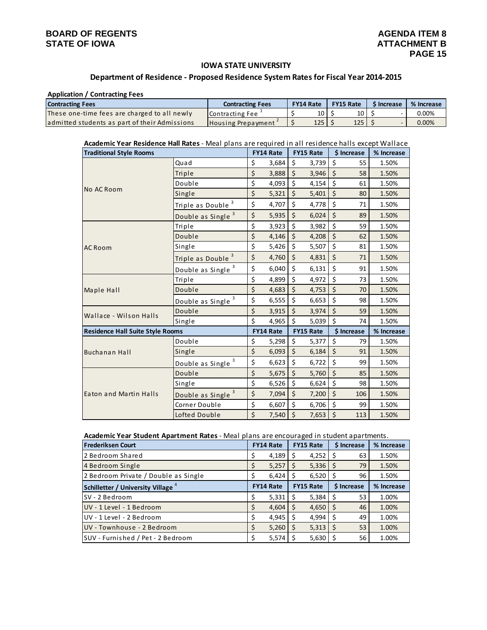#### **IOWA STATE UNIVERSITY**

#### **Department of Residence ‐ Proposed Residence System Rates for Fiscal Year 2014‐2015**

#### **Application / Contracting Fees**

| <b>Contracting Fees</b>                       | <b>Contracting Fees</b>   | <b>FY14 Rate</b> | <b>FY15 Rate</b> | <b>S</b> Increase | % Increase |  |  |
|-----------------------------------------------|---------------------------|------------------|------------------|-------------------|------------|--|--|
| These one-time fees are charged to all newly  | Contracting Fee           | 10 I             | 10 <sup>1</sup>  |                   | $0.00\%$   |  |  |
| admitted students as part of their Admissions | <b>Housing Prepayment</b> | 125 <sub>1</sub> | 125 l            |                   | 0.00%      |  |  |

#### **Academic Year Residence Hall Rates** ‐ Meal plans are required in all residence halls except Wallace

| <b>Traditional Style Rooms</b>          |                               | <b>FY14 Rate</b> |         | <b>FY15 Rate</b> |         | \$ Increase | % Increase |
|-----------------------------------------|-------------------------------|------------------|---------|------------------|---------|-------------|------------|
|                                         | Quad                          | \$<br>3,684      | \$      | 3,739            | \$      | 55          | 1.50%      |
|                                         | Triple                        | \$<br>3,888      | \$      | 3,946            | $\zeta$ | 58          | 1.50%      |
|                                         | Double                        | \$<br>4,093      | \$      | 4,154            | \$      | 61          | 1.50%      |
| No AC Room                              | Single                        | \$<br>5,321      | $\zeta$ | 5,401            | $\zeta$ | 80          | 1.50%      |
|                                         | Triple as Double <sup>3</sup> | \$<br>4,707      | \$      | 4,778            | \$      | 71          | 1.50%      |
|                                         | Double as Single 3            | \$<br>5,935      | $\zeta$ | 6,024            | $\zeta$ | 89          | 1.50%      |
|                                         | Triple                        | \$<br>3,923      | \$      | 3,982            | \$      | 59          | 1.50%      |
|                                         | Double                        | \$<br>4,146      | $\zeta$ | 4,208            | \$      | 62          | 1.50%      |
| <b>AC Room</b>                          | Single                        | \$<br>5,426      | \$      | 5,507            | \$      | 81          | 1.50%      |
|                                         | Triple as Double              | \$<br>4,760      | $\zeta$ | 4,831            | $\zeta$ | 71          | 1.50%      |
|                                         | Double as Single <sup>3</sup> | \$<br>6,040      | \$      | 6,131            | \$      | 91          | 1.50%      |
|                                         | Triple                        | \$<br>4,899      | \$      | 4,972            | \$      | 73          | 1.50%      |
| Maple Hall                              | Double                        | \$<br>4,683      | $\zeta$ | 4,753            | $\zeta$ | 70          | 1.50%      |
|                                         | Double as Single 3            | \$<br>6,555      | \$      | 6,653            | \$      | 98          | 1.50%      |
| Wallace - Wilson Halls                  | Double                        | \$<br>3,915      | $\zeta$ | 3,974            | $\zeta$ | 59          | 1.50%      |
|                                         | Single                        | \$<br>4,965      | \$      | 5,039            | \$      | 74          | 1.50%      |
| <b>Residence Hall Suite Style Rooms</b> |                               | <b>FY14 Rate</b> |         | <b>FY15 Rate</b> |         | \$ Increase | % Increase |
|                                         | Double                        | \$<br>5,298      | \$      | 5,377            | \$      | 79          | 1.50%      |
| <b>Buchanan Hall</b>                    | Single                        | \$<br>6,093      | $\zeta$ | 6,184            | \$      | 91          | 1.50%      |
|                                         | Double as Single 3            | \$<br>6,623      | \$      | 6,722            | \$      | 99          | 1.50%      |
|                                         | Double                        | \$<br>5,675      | $\zeta$ | 5,760            | $\zeta$ | 85          | 1.50%      |
|                                         | Single                        | \$<br>6,526      | \$      | 6,624            | \$      | 98          | 1.50%      |
| Eaton and Martin Halls                  | Double as Single 3            | \$<br>7,094      | $\zeta$ | 7,200            | $\zeta$ | 106         | 1.50%      |
|                                         | Corner Double                 | \$<br>6,607      | \$      | 6,706            | \$      | 99          | 1.50%      |
|                                         | Lofted Double                 | \$<br>7,540      | \$      | 7,653            | \$      | 113         | 1.50%      |

#### **Academic Year Student Apartment Rates** ‐ Meal plans are encouraged in student apartments.

| <b>Frederiksen Court</b>             | <b>FY14 Rate</b> |       | <b>FY15 Rate</b> | \$ Increase | % Increase |
|--------------------------------------|------------------|-------|------------------|-------------|------------|
| 2 Bedroom Shared                     |                  | 4,189 | 4,252<br>S       | 63          | 1.50%      |
| 4 Bedroom Single                     |                  | 5,257 | 5,336<br>\$      | 79<br>\$    | 1.50%      |
| 2 Bedroom Private / Double as Single |                  | 6,424 | 6,520            | 96          | 1.50%      |
| Schilletter / University Village +   | <b>FY14 Rate</b> |       | <b>FY15 Rate</b> | \$ Increase | % Increase |
| SV - 2 Bedroom                       |                  | 5,331 | 5,384<br>S       | 53<br>S     | 1.00%      |
| UV - 1 Level - 1 Bedroom             |                  | 4,604 | \$<br>4,650      | 46<br>Ś     | 1.00%      |
| UV - 1 Level - 2 Bedroom             |                  | 4,945 | 4,994<br>S       | 49<br>S     | 1.00%      |
| UV - Townhouse - 2 Bedroom           |                  | 5,260 | 5,313<br>\$      | 53<br>Ś     | 1.00%      |
| SUV - Furnished / Pet - 2 Bedroom    |                  | 5,574 | 5,630            | 56          | 1.00%      |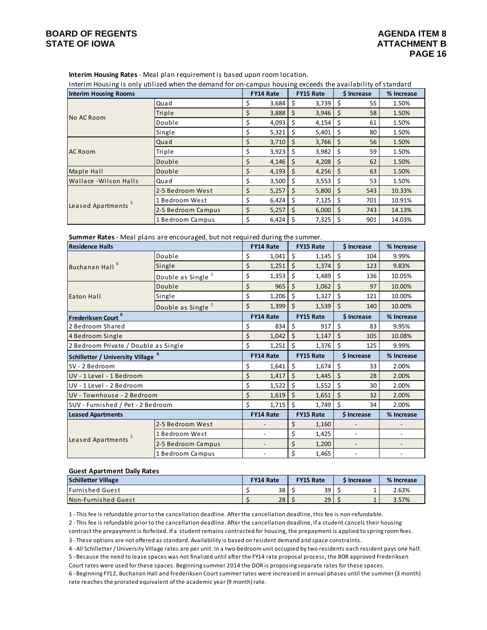**Interim Housing Rates** ‐ Meal plan requirement is based upon room location.

Interim Housing is only utilized when the demand for on‐campus housing exceeds the availability of standard

| <b>Interim Housing Rooms</b> |                    | <b>FY14 Rate</b> |     | <b>FY15 Rate</b> |    | \$ Increase | % Increase |
|------------------------------|--------------------|------------------|-----|------------------|----|-------------|------------|
|                              | Quad               | \$<br>3,684      | \$  | 3,739            | \$ | 55          | 1.50%      |
| No AC Room                   | Triple             | \$<br>3,888      | \$  | 3,946            | \$ | 58          | 1.50%      |
|                              | Double             | \$<br>4,093      | \$  | 4,154            | S  | 61          | 1.50%      |
|                              | Single             | \$<br>5,321      | \$  | 5,401            | \$ | 80          | 1.50%      |
|                              | Quad               | \$<br>3,710      | \$  | 3,766            | \$ | 56          | 1.50%      |
| AC Room                      | Triple             | \$<br>3,923      | \$  | 3,982            | \$ | 59          | 1.50%      |
|                              | Double             | \$<br>4,146      | \$  | 4,208            | \$ | 62          | 1.50%      |
| Maple Hall                   | Double             | \$<br>4,193      | -S  | 4,256            | \$ | 63          | 1.50%      |
| Wallace - Wilson Halls       | Quad               | \$<br>3,500      | \$  | 3,553            | \$ | 53          | 1.50%      |
|                              | 2-5 Bedroom West   | \$<br>5,257      | \$  | 5,800            | \$ | 543         | 10.33%     |
|                              | 1 Bedroom West     | \$<br>6,424      | -\$ | 7,125            | \$ | 701         | 10.91%     |
| Leased Apartments            | 2-5 Bedroom Campus | \$<br>5,257      | \$  | 6,000            | Ś  | 743         | 14.13%     |
|                              | 1 Bedroom Campus   | \$<br>6,424      | S   | 7,325            | S  | 901         | 14.03%     |

**Summer Rates** ‐ Meal plans are encouraged, but not required during the summer.

| <b>Residence Halls</b>                        |                               |    | <b>FY14 Rate</b>         |         | <b>FY15 Rate</b> |                    | \$ Increase              | % Increase               |
|-----------------------------------------------|-------------------------------|----|--------------------------|---------|------------------|--------------------|--------------------------|--------------------------|
|                                               | Double                        | \$ | 1,041                    | \$      | 1,145            | \$                 | 104                      | 9.99%                    |
| Buchanan Hall <sup>6</sup>                    | Single                        | \$ | 1,251                    | \$      | 1,374            | \$                 | 123                      | 9.83%                    |
|                                               | Double as Single <sup>1</sup> | \$ | 1,353                    | Ś       | 1,489            | Ś                  | 136                      | 10.05%                   |
|                                               | Double                        | \$ | 965                      |         | \$<br>1,062      |                    | 97                       | 10.00%                   |
| Eaton Hall                                    | Single                        | \$ | 1,206                    | \$      | 1,327            | \$                 | 121                      | 10.00%                   |
|                                               | Double as Single <sup>1</sup> | \$ | 1,399                    | Ś       | 1,539            | Ś                  | 140                      | 10.00%                   |
| Frederiksen Court <sup>6</sup>                |                               |    | <b>FY14 Rate</b>         |         | <b>FY15 Rate</b> |                    | \$ Increase              | % Increase               |
| 2 Bedroom Shared                              |                               | \$ | 834                      | \$      | 917              | \$                 | 83                       | 9.95%                    |
| 4 Bedroom Single                              |                               |    | 1,042                    | $\zeta$ | 1,147            | $\mathsf{\dot{S}}$ | 105                      | 10.08%                   |
| 2 Bedroom Private / Double as Single          |                               | \$ | 1,251                    | Ś       | 1,376            | Ś                  | 125                      | 9.99%                    |
| Schilletter / University Village <sup>4</sup> |                               |    | <b>FY14 Rate</b>         |         | FY15 Rate        | \$ Increase        |                          | % Increase               |
|                                               |                               |    |                          |         |                  |                    |                          |                          |
| SV - 2 Bedroom                                |                               | \$ | 1,641                    | \$      | 1,674            | \$                 | 33                       | 2.00%                    |
| UV - 1 Level - 1 Bedroom                      |                               | \$ | 1,417                    | \$      | 1,445            | \$                 | 28                       | 2.00%                    |
| UV - 1 Level - 2 Bedroom                      |                               | \$ | 1,522                    | \$      | 1,552            | Ś                  | 30                       | 2.00%                    |
| UV - Townhouse - 2 Bedroom                    |                               | \$ | 1,619                    | $\zeta$ | 1,651            | \$                 | 32                       | 2.00%                    |
| SUV - Furnished / Pet - 2 Bedroom             |                               | \$ | 1,715                    | \$      | 1,749            | \$                 | 34                       | 2.00%                    |
| <b>Leased Apartments</b>                      |                               |    | <b>FY14 Rate</b>         |         | <b>FY15 Rate</b> |                    | \$ Increase              | % Increase               |
|                                               | 2-5 Bedroom West              |    |                          | \$      | 1,160            |                    |                          |                          |
|                                               | 1 Bedroom West                |    | $\overline{\phantom{m}}$ | \$      | 1,425            |                    | $\overline{\phantom{m}}$ |                          |
| Leased Apartments <sup>5</sup>                | 2-5 Bedroom Campus            |    | $\overline{\phantom{a}}$ | \$      | 1,200            |                    | $\overline{\phantom{a}}$ | $\overline{\phantom{a}}$ |

#### **Guest Apartment Daily Rates**

| <b>Schilletter Village</b> | <b>FY14 Rate</b> | <b>FY15 Rate</b> | i Increase | % Increase |  |  |
|----------------------------|------------------|------------------|------------|------------|--|--|
| <b>IFurnished Guest</b>    | 38               | 39               |            | 2.63%      |  |  |
| Non-Furnished Guest        | 28               | 29               | <b></b>    | 3.57%      |  |  |

1 ‐ This fee is refundable prior to the cancellation deadline. After the cancellation deadline, this fee is non‐refundable.

2 ‐ This fee is refundable prior to the cancellation deadline. After the cancellation deadline, if a student cancels their housing contract the prepayment is forfeited. If a student remains contracted for housing, the prepayment is applied to spring room fees.

3 ‐ These options are not offered as standard. Availability is based on resident demand and space constraints.

4 ‐ All Schilletter /University Village rates are per unit. In a two‐bedroom unit occupied by two residents each resident pays one half.

5 ‐ Because the need to lease spaces was not finalized until after the FY14 rate proposal process, the BOR approved Frederiksen Court rates were used for these spaces. Beginning summer 2014 the DOR is proposing separate rates for these spaces.

6 ‐ Beginning FY12, Buchanan Hall and Frederiksen Court summer rates were increased in annual phases until the summer (3 month) rate reaches the prorated equivalent of the academic year (9 month) rate.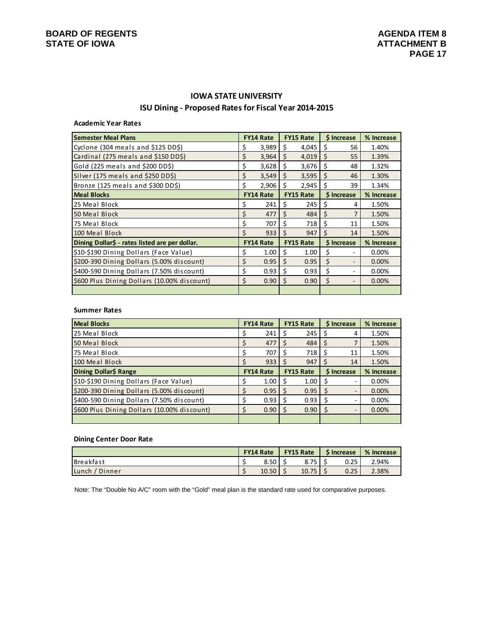# **ISU Dining ‐ Proposed Ratesfor Fiscal Year 2014‐2015 IOWA STATE UNIVERSITY**

# **Academic Year Rates**

| <b>Semester Meal Plans</b>                     |    | <b>FY14 Rate</b> |              | <b>FY15 Rate</b> | \$ Increase |                   | % Increase |
|------------------------------------------------|----|------------------|--------------|------------------|-------------|-------------------|------------|
| Cyclone (304 meals and \$125 DD\$)             | Ş  | 3,989            | S            | 4,045            | S           | 56                | 1.40%      |
| Cardinal (275 meals and \$150 DD\$)            | \$ | 3,964            | Ś.           | 4,019            | Ś           | 55                | 1.39%      |
| Gold (225 meals and \$200 DD\$)                | \$ | 3,628            | \$           | 3,676            | Ś           | 48                | 1.32%      |
| Silver (175 meals and \$250 DD\$)              | \$ | 3,549            | \$           | 3,595            | Ś           | 46                | 1.30%      |
| Bronze (125 meals and \$300 DD\$)              | Ś. | 2,906            | Ś.           | 2,945            | Ś           | 39                | 1.34%      |
| <b>Meal Blocks</b>                             |    | <b>FY14 Rate</b> |              | <b>FY15 Rate</b> |             | <b>S</b> Increase | % Increase |
| 25 Meal Block                                  | \$ | 241              | S            | 245              | S           | 4                 | 1.50%      |
| 50 Meal Block                                  | \$ | 477              | Ś            | 484              | Ś           | 7                 | 1.50%      |
| 75 Meal Block                                  | \$ | 707              | Ś            | 718              | Ś           | 11                | 1.50%      |
| 100 Meal Block                                 | Ś  | 933              | Ś            | 947              | \$.         | 14                | 1.50%      |
| Dining Dollar\$ - rates listed are per dollar. |    | <b>FY14 Rate</b> |              | <b>FY15 Rate</b> |             | \$ Increase       | % Increase |
| \$10-\$190 Dining Dollars (Face Value)         | \$ | 1.00             | \$           | 1.00             | \$          |                   | 0.00%      |
| \$200-390 Dining Dollars (5.00% discount)      | Ś  | 0.95             | Ŝ.           | 0.95             | Ś           |                   | 0.00%      |
| \$400-590 Dining Dollars (7.50% discount)      | \$ | 0.93             | \$           | 0.93             | Ś           |                   | 0.00%      |
| \$600 Plus Dining Dollars (10.00% discount)    | Ś  | 0.90             | <sup>S</sup> | 0.90             | Ś           |                   | 0.00%      |
|                                                |    |                  |              |                  |             |                   |            |

#### **Summer Rates**

| <b>Meal Blocks</b>                          | <b>FY14 Rate</b> |              | <b>FY15 Rate</b> | \$ Increase |                          | % Increase |
|---------------------------------------------|------------------|--------------|------------------|-------------|--------------------------|------------|
| 25 Meal Block                               | 241              |              | 245              |             | 4                        | 1.50%      |
| 50 Meal Block                               | 477              |              | 484              |             |                          | 1.50%      |
| 75 Meal Block                               | 707              |              | 718              | <b>S</b>    | 11                       | 1.50%      |
| 100 Meal Block                              | 933              |              | 947              |             | 14                       | 1.50%      |
| Dining Dollar\$ Range                       | <b>FY14 Rate</b> |              | <b>FY15 Rate</b> |             | \$ Increase              | % Increase |
| \$10-\$190 Dining Dollars (Face Value)      | 1.00             |              | 1.00             |             |                          | 0.00%      |
| \$200-390 Dining Dollars (5.00% discount)   | 0.95             | <sub>S</sub> | 0.95             |             | $\overline{\phantom{a}}$ | 0.00%      |
| \$400-590 Dining Dollars (7.50% discount)   | 0.93             |              | 0.93             |             |                          | 0.00%      |
| \$600 Plus Dining Dollars (10.00% discount) | 0.90             |              | 0.90             |             |                          | 0.00%      |
|                                             |                  |              |                  |             |                          |            |

#### **Dining Center Door Rate**

|                  | <b>FY14 Rate</b> |  | <b>FY15 Rate</b> | <b>S</b> Increase | % Increase |
|------------------|------------------|--|------------------|-------------------|------------|
| <b>Breakfast</b> | 8.50             |  | 8.75             | 0.25              | 2.94%      |
| Lunch<br>Dinner  | 10.50            |  | 10.75            | 0.25              | 2.38%      |

Note: The "Double No A/C" room with the "Gold" meal plan is the standard rate used for comparative purposes.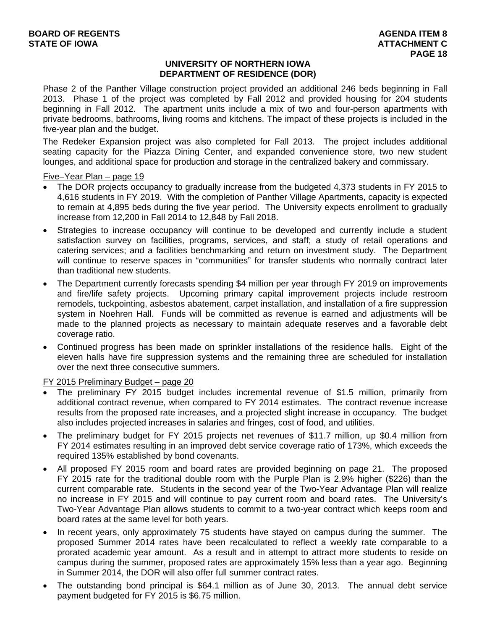### **UNIVERSITY OF NORTHERN IOWA DEPARTMENT OF RESIDENCE (DOR)**

Phase 2 of the Panther Village construction project provided an additional 246 beds beginning in Fall 2013. Phase 1 of the project was completed by Fall 2012 and provided housing for 204 students beginning in Fall 2012. The apartment units include a mix of two and four-person apartments with private bedrooms, bathrooms, living rooms and kitchens. The impact of these projects is included in the five-year plan and the budget.

The Redeker Expansion project was also completed for Fall 2013. The project includes additional seating capacity for the Piazza Dining Center, and expanded convenience store, two new student lounges, and additional space for production and storage in the centralized bakery and commissary.

Five–Year Plan – page 19

- The DOR projects occupancy to gradually increase from the budgeted 4,373 students in FY 2015 to 4,616 students in FY 2019. With the completion of Panther Village Apartments, capacity is expected to remain at 4,895 beds during the five year period. The University expects enrollment to gradually increase from 12,200 in Fall 2014 to 12,848 by Fall 2018.
- Strategies to increase occupancy will continue to be developed and currently include a student satisfaction survey on facilities, programs, services, and staff; a study of retail operations and catering services; and a facilities benchmarking and return on investment study. The Department will continue to reserve spaces in "communities" for transfer students who normally contract later than traditional new students.
- The Department currently forecasts spending \$4 million per year through FY 2019 on improvements and fire/life safety projects. Upcoming primary capital improvement projects include restroom remodels, tuckpointing, asbestos abatement, carpet installation, and installation of a fire suppression system in Noehren Hall. Funds will be committed as revenue is earned and adjustments will be made to the planned projects as necessary to maintain adequate reserves and a favorable debt coverage ratio.
- Continued progress has been made on sprinkler installations of the residence halls. Eight of the eleven halls have fire suppression systems and the remaining three are scheduled for installation over the next three consecutive summers.

FY 2015 Preliminary Budget – page 20

- The preliminary FY 2015 budget includes incremental revenue of \$1.5 million, primarily from additional contract revenue, when compared to FY 2014 estimates. The contract revenue increase results from the proposed rate increases, and a projected slight increase in occupancy. The budget also includes projected increases in salaries and fringes, cost of food, and utilities.
- The preliminary budget for FY 2015 projects net revenues of \$11.7 million, up \$0.4 million from FY 2014 estimates resulting in an improved debt service coverage ratio of 173%, which exceeds the required 135% established by bond covenants.
- All proposed FY 2015 room and board rates are provided beginning on page 21. The proposed FY 2015 rate for the traditional double room with the Purple Plan is 2.9% higher (\$226) than the current comparable rate. Students in the second year of the Two-Year Advantage Plan will realize no increase in FY 2015 and will continue to pay current room and board rates. The University's Two-Year Advantage Plan allows students to commit to a two-year contract which keeps room and board rates at the same level for both years.
- In recent years, only approximately 75 students have stayed on campus during the summer. The proposed Summer 2014 rates have been recalculated to reflect a weekly rate comparable to a prorated academic year amount. As a result and in attempt to attract more students to reside on campus during the summer, proposed rates are approximately 15% less than a year ago. Beginning in Summer 2014, the DOR will also offer full summer contract rates.
- The outstanding bond principal is \$64.1 million as of June 30, 2013. The annual debt service payment budgeted for FY 2015 is \$6.75 million.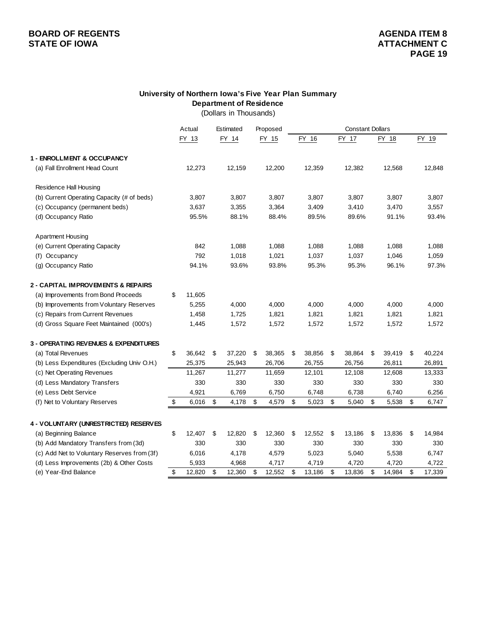# **BOARD OF REGENTS**<br> **BOARD OF REGENTS**<br> **STATE OF IOWA**<br> **ATTACHMENT C STATE OF IOWA**

### **University of Northern Iowa's Five Year Plan Summary Department of Residence**

(Dollars in Thousands)

|                                               | Actual       | Estimated    | Proposed     | <b>Constant Dollars</b> |        |    |        |              |              |
|-----------------------------------------------|--------------|--------------|--------------|-------------------------|--------|----|--------|--------------|--------------|
|                                               | FY 13        | FY 14        | FY 15        |                         | FY 16  |    | FY 17  | FY 18        | FY 19        |
| 1 - ENROLLMENT & OCCUPANCY                    |              |              |              |                         |        |    |        |              |              |
| (a) Fall Enrollment Head Count                | 12,273       | 12,159       | 12,200       |                         | 12,359 |    | 12,382 | 12,568       | 12,848       |
| Residence Hall Housing                        |              |              |              |                         |        |    |        |              |              |
| (b) Current Operating Capacity (# of beds)    | 3,807        | 3,807        | 3,807        |                         | 3,807  |    | 3,807  | 3,807        | 3,807        |
| (c) Occupancy (permanent beds)                | 3,637        | 3,355        | 3,364        |                         | 3,409  |    | 3,410  | 3,470        | 3,557        |
| (d) Occupancy Ratio                           | 95.5%        | 88.1%        | 88.4%        |                         | 89.5%  |    | 89.6%  | 91.1%        | 93.4%        |
| <b>Apartment Housing</b>                      |              |              |              |                         |        |    |        |              |              |
| (e) Current Operating Capacity                | 842          | 1,088        | 1,088        |                         | 1,088  |    | 1,088  | 1,088        | 1,088        |
| (f) Occupancy                                 | 792          | 1,018        | 1,021        |                         | 1,037  |    | 1,037  | 1,046        | 1,059        |
| (g) Occupancy Ratio                           | 94.1%        | 93.6%        | 93.8%        |                         | 95.3%  |    | 95.3%  | 96.1%        | 97.3%        |
| <b>2 - CAPITAL IMPROVEMENTS &amp; REPAIRS</b> |              |              |              |                         |        |    |        |              |              |
| (a) Improvements from Bond Proceeds           | \$<br>11,605 |              |              |                         |        |    |        |              |              |
| (b) Improvements from Voluntary Reserves      | 5,255        | 4,000        | 4,000        |                         | 4,000  |    | 4,000  | 4,000        | 4,000        |
| (c) Repairs from Current Revenues             | 1,458        | 1,725        | 1,821        |                         | 1,821  |    | 1,821  | 1,821        | 1,821        |
| (d) Gross Square Feet Maintained (000's)      | 1,445        | 1,572        | 1,572        |                         | 1,572  |    | 1,572  | 1,572        | 1,572        |
| 3 - OPERATING REVENUES & EXPENDITURES         |              |              |              |                         |        |    |        |              |              |
| (a) Total Revenues                            | \$<br>36,642 | \$<br>37,220 | \$<br>38,365 | \$                      | 38,856 | \$ | 38,864 | \$<br>39,419 | \$<br>40,224 |
| (b) Less Expenditures (Excluding Univ O.H.)   | 25,375       | 25,943       | 26,706       |                         | 26,755 |    | 26,756 | 26,811       | 26,891       |
| (c) Net Operating Revenues                    | 11,267       | 11,277       | 11,659       |                         | 12,101 |    | 12,108 | 12,608       | 13,333       |
| (d) Less Mandatory Transfers                  | 330          | 330          | 330          |                         | 330    |    | 330    | 330          | 330          |
| (e) Less Debt Service                         | 4,921        | 6,769        | 6,750        |                         | 6,748  |    | 6,738  | 6,740        | 6,256        |
| (f) Net to Voluntary Reserves                 | \$<br>6,016  | \$<br>4,178  | \$<br>4,579  | \$                      | 5,023  | \$ | 5,040  | \$<br>5,538  | \$<br>6,747  |
| 4 - VOLUNTARY (UNRESTRICTED) RESERVES         |              |              |              |                         |        |    |        |              |              |
| (a) Beginning Balance                         | \$<br>12,407 | \$<br>12,820 | \$<br>12,360 | \$                      | 12,552 | \$ | 13,186 | \$<br>13,836 | \$<br>14,984 |
| (b) Add Mandatory Transfers from (3d)         | 330          | 330          | 330          |                         | 330    |    | 330    | 330          | 330          |
| (c) Add Net to Voluntary Reserves from (3f)   | 6,016        | 4,178        | 4,579        |                         | 5,023  |    | 5,040  | 5,538        | 6,747        |
| (d) Less Improvements (2b) & Other Costs      | 5,933        | 4,968        | 4,717        |                         | 4,719  |    | 4,720  | 4,720        | 4,722        |
| (e) Year-End Balance                          | \$<br>12,820 | \$<br>12,360 | \$<br>12,552 | \$                      | 13,186 | \$ | 13,836 | \$<br>14,984 | \$<br>17,339 |
|                                               |              |              |              |                         |        |    |        |              |              |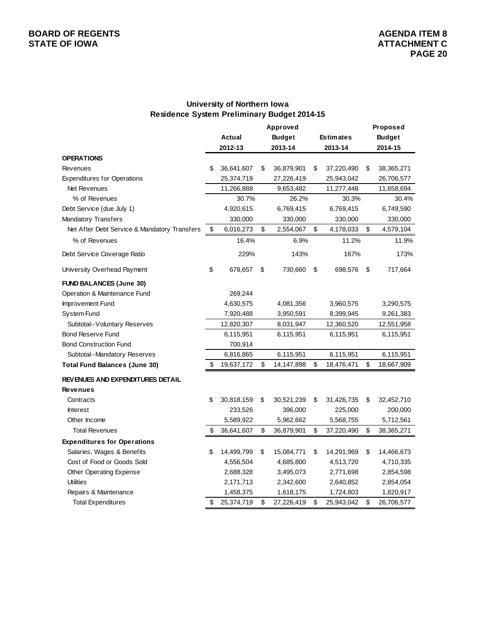# **University of Northern Iowa Residence System Preliminary Budget 2014-15**

|                                              | Approved |            |    |               |    |                  |    | Proposed      |
|----------------------------------------------|----------|------------|----|---------------|----|------------------|----|---------------|
|                                              |          | Actual     |    | <b>Budget</b> |    | <b>Estimates</b> |    | <b>Budget</b> |
|                                              |          | 2012-13    |    | 2013-14       |    | 2013-14          |    | 2014-15       |
| <b>OPERATIONS</b>                            |          |            |    |               |    |                  |    |               |
| Revenues                                     | \$       | 36,641,607 | \$ | 36,879,901    | \$ | 37,220,490       | \$ | 38,365,271    |
| <b>Expenditures for Operations</b>           |          | 25,374,719 |    | 27,226,419    |    | 25,943,042       |    | 26,706,577    |
| Net Revenues                                 |          | 11,266,888 |    | 9,653,482     |    | 11,277,448       |    | 11,658,694    |
| % of Revenues                                |          | 30.7%      |    | 26.2%         |    | 30.3%            |    | 30.4%         |
| Debt Service (due July 1)                    |          | 4,920,615  |    | 6,769,415     |    | 6,769,415        |    | 6,749,590     |
| <b>Mandatory Transfers</b>                   |          | 330,000    |    | 330,000       |    | 330,000          |    | 330,000       |
| Net After Debt Service & Mandatory Transfers | \$       | 6,016,273  | \$ | 2,554,067     | \$ | 4,178,033        | \$ | 4,579,104     |
| % of Revenues                                |          | 16.4%      |    | 6.9%          |    | 11.2%            |    | 11.9%         |
| Debt Service Coverage Ratio                  |          | 229%       |    | 143%          |    | 167%             |    | 173%          |
| University Overhead Payment                  | \$       | 678,657    | \$ | 730,660       | \$ | 698,576          | \$ | 717,664       |
| <b>FUND BALANCES (June 30)</b>               |          |            |    |               |    |                  |    |               |
| Operation & Maintenance Fund                 |          | 269,244    |    |               |    |                  |    |               |
| Improvement Fund                             |          | 4,630,575  |    | 4,081,356     |    | 3,960,575        |    | 3,290,575     |
| System Fund                                  |          | 7,920,488  |    | 3,950,591     |    | 8,399,945        |    | 9,261,383     |
| Subtotal--Voluntary Reserves                 |          | 12,820,307 |    | 8,031,947     |    | 12,360,520       |    | 12,551,958    |
| <b>Bond Reserve Fund</b>                     |          | 6,115,951  |    | 6,115,951     |    | 6,115,951        |    | 6,115,951     |
| <b>Bond Construction Fund</b>                |          | 700,914    |    |               |    |                  |    |               |
| Subtotal--Mandatory Reserves                 |          | 6,816,865  |    | 6,115,951     |    | 6,115,951        |    | 6,115,951     |
| <b>Total Fund Balances (June 30)</b>         | \$       | 19,637,172 | \$ | 14,147,898    | \$ | 18,476,471       | \$ | 18,667,909    |
| <b>REVENUES AND EXPENDITURES DETAIL</b>      |          |            |    |               |    |                  |    |               |
| <b>Revenues</b>                              |          |            |    |               |    |                  |    |               |
| Contracts                                    | \$       | 30,818,159 | \$ | 30,521,239    | \$ | 31,426,735       | \$ | 32,452,710    |
| <b>Interest</b>                              |          | 233,526    |    | 396,000       |    | 225,000          |    | 200,000       |
| Other Income                                 |          | 5,589,922  |    | 5,962,662     |    | 5,568,755        |    | 5,712,561     |
| <b>Total Revenues</b>                        | \$       | 36,641,607 | \$ | 36,879,901    | \$ | 37,220,490       | \$ | 38,365,271    |
| <b>Expenditures for Operations</b>           |          |            |    |               |    |                  |    |               |
| Salaries, Wages & Benefits                   | \$       | 14,499,799 | \$ | 15,084,771    | \$ | 14,291,969       | \$ | 14,466,673    |
| Cost of Food or Goods Sold                   |          | 4,556,504  |    | 4,685,800     |    | 4,513,720        |    | 4,710,335     |
| Other Operating Expense                      |          | 2,688,328  |    | 3,495,073     |    | 2,771,698        |    | 2,854,598     |
| <b>Utilities</b>                             |          | 2,171,713  |    | 2,342,600     |    | 2,640,852        |    | 2,854,054     |
| Repairs & Maintenance                        |          | 1,458,375  |    | 1,618,175     |    | 1,724,803        |    | 1,820,917     |
| <b>Total Expenditures</b>                    | \$       | 25,374,719 | \$ | 27,226,419    | \$ | 25,943,042       | \$ | 26,706,577    |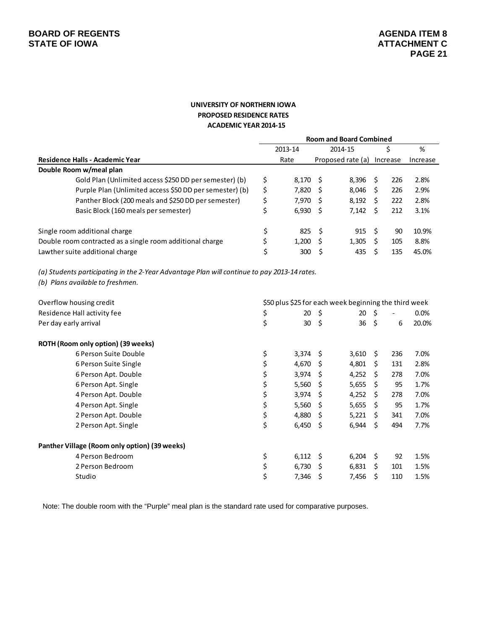#### **UNIVERSITY OF NORTHERN IOWA PROPOSED RESIDENCE RATES ACADEMIC YEAR 2014‐15**

|                                                           | <b>Room and Board Combined</b> |            |         |                   |   |          |          |  |  |  |
|-----------------------------------------------------------|--------------------------------|------------|---------|-------------------|---|----------|----------|--|--|--|
|                                                           |                                | 2013-14    | 2014-15 |                   |   | S        | %        |  |  |  |
| Residence Halls - Academic Year                           |                                | Rate       |         | Proposed rate (a) |   | Increase | Increase |  |  |  |
| Double Room w/meal plan                                   |                                |            |         |                   |   |          |          |  |  |  |
| Gold Plan (Unlimited access \$250 DD per semester) (b)    | \$                             | 8.170 \$   |         | 8,396             | S | 226      | 2.8%     |  |  |  |
| Purple Plan (Unlimited access \$50 DD per semester) (b)   | \$                             | 7,820 \$   |         | 8.046             | S | 226      | 2.9%     |  |  |  |
| Panther Block (200 meals and \$250 DD per semester)       | \$                             | 7.970 \$   |         | 8,192             | S | 222      | 2.8%     |  |  |  |
| Basic Block (160 meals per semester)                      | \$                             | $6,930$ \$ |         | 7.142             |   | 212      | 3.1%     |  |  |  |
| Single room additional charge                             | \$                             | 825        | - S     | 915               | S | 90       | 10.9%    |  |  |  |
| Double room contracted as a single room additional charge | Ś                              | 1.200      | - S     | 1,305             |   | 105      | 8.8%     |  |  |  |
| Lawther suite additional charge                           |                                | 300        |         | 435               |   | 135      | 45.0%    |  |  |  |

(a) Students participating in the 2-Year Advantage Plan will continue to pay 2013-14 rates.

*(b) Plans available to freshmen.*

| Overflow housing credit                       |             | \$50 plus \$25 for each week beginning the third week |       |      |                          |         |
|-----------------------------------------------|-------------|-------------------------------------------------------|-------|------|--------------------------|---------|
| Residence Hall activity fee                   | \$<br>20    | S.                                                    | 20    | - \$ | $\overline{\phantom{a}}$ | $0.0\%$ |
| Per day early arrival                         | \$<br>30    | \$                                                    | 36    | - \$ | 6                        | 20.0%   |
| ROTH (Room only option) (39 weeks)            |             |                                                       |       |      |                          |         |
| 6 Person Suite Double                         | \$<br>3,374 | S                                                     | 3,610 | Ŝ.   | 236                      | 7.0%    |
| 6 Person Suite Single                         | \$<br>4,670 | S                                                     | 4,801 | S    | 131                      | 2.8%    |
| 6 Person Apt. Double                          | \$<br>3,974 | S                                                     | 4,252 | Ŝ.   | 278                      | 7.0%    |
| 6 Person Apt. Single                          | \$<br>5,560 | S                                                     | 5,655 | Ŝ.   | 95                       | 1.7%    |
| 4 Person Apt. Double                          | \$<br>3,974 | S                                                     | 4,252 | Ŝ.   | 278                      | 7.0%    |
| 4 Person Apt. Single                          | \$<br>5,560 | S                                                     | 5,655 | Ŝ.   | 95                       | 1.7%    |
| 2 Person Apt. Double                          | \$<br>4,880 | S                                                     | 5,221 | S.   | 341                      | 7.0%    |
| 2 Person Apt. Single                          | \$<br>6,450 | \$.                                                   | 6,944 | -\$  | 494                      | 7.7%    |
| Panther Village (Room only option) (39 weeks) |             |                                                       |       |      |                          |         |
| 4 Person Bedroom                              | \$<br>6,112 | Ŝ.                                                    | 6,204 | -\$  | 92                       | 1.5%    |
| 2 Person Bedroom                              | \$<br>6,730 | S                                                     | 6,831 | Ś.   | 101                      | 1.5%    |
| Studio                                        | \$<br>7,346 | \$                                                    | 7,456 | \$   | 110                      | 1.5%    |

Note: The double room with the "Purple" meal plan is the standard rate used for comparative purposes.